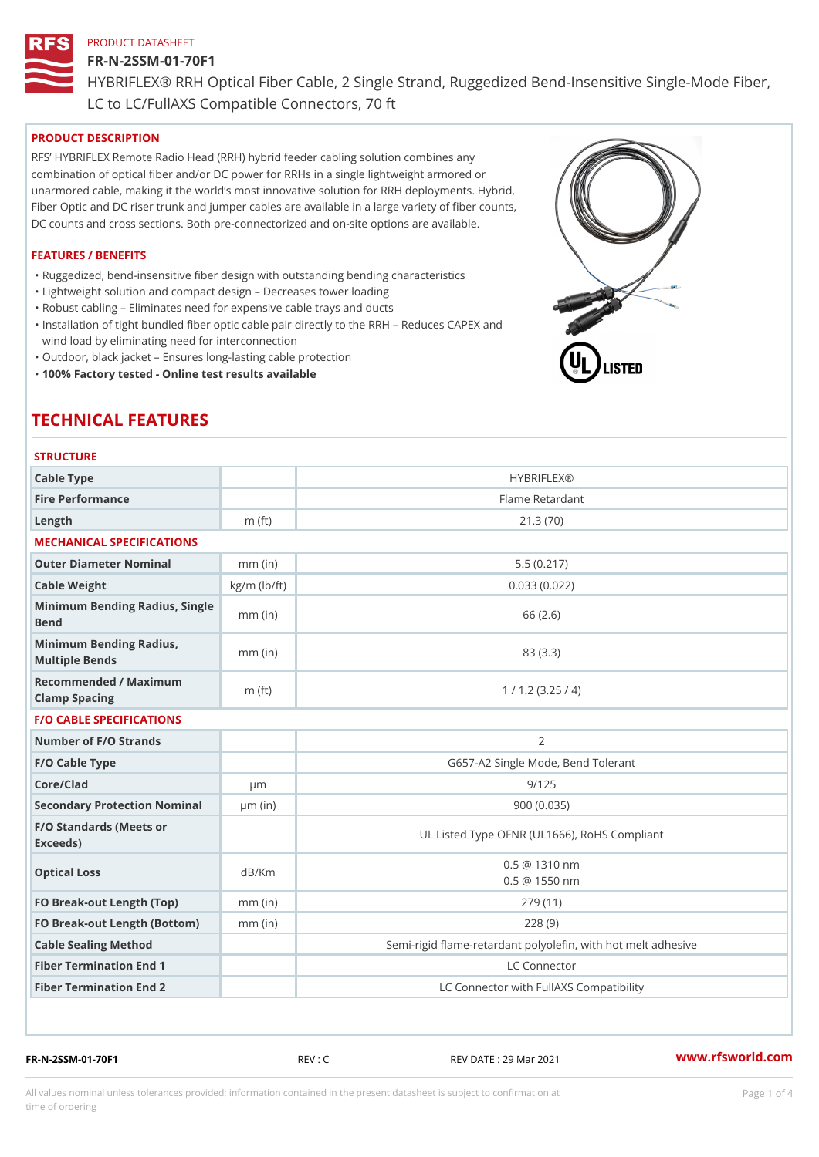### FR-N-2SSM-01-70F1

HYBRIFLEX® RRH Optical Fiber Cable, 2 Single Strand, Ruggedized Be

LC to LC/FullAXS Compatible Connectors, 70 ft

# PRODUCT DESCRIPTION

RFS HYBRIFLEX Remote Radio Head (RRH) hybrid feeder cabling solution combines any combination of optical fiber and/or DC power for RRHs in a single lightweight armored or unarmored cable, making it the world s most innovative solution for RRH deployments. Hybrid, Fiber Optic and DC riser trunk and jumper cables are available in a large variety of fiber counts, DC counts and cross sections. Both pre-connectorized and on-site options are available.

### FEATURES / BENEFITS

"Ruggedized, bend-insensitive fiber design with outstanding bending characteristics

- "Lightweight solution and compact design Decreases tower loading
- "Robust cabling Eliminates need for expensive cable trays and ducts
- "Installation of tight bundled fiber optic cable pair directly to the RRH Aeduces CAPEX and wind load by eliminating need for interconnection
- "Outdoor, black jacket Ensures long-lasting cable protection
- "100% Factory tested Online test results available

# TECHNICAL FEATURES

### **STRUCTURE**

| .                                                 |                    |                                                          |
|---------------------------------------------------|--------------------|----------------------------------------------------------|
| Cable Type                                        |                    | <b>HYBRIFLEX®</b>                                        |
| Fire Performance                                  |                    | Flame Retardant                                          |
| Length                                            | $m$ (ft)           | 21.3(70)                                                 |
| MECHANICAL SPECIFICATIONS                         |                    |                                                          |
| Outer Diameter Nominal                            | $mm$ (in)          | 5.5(0.217)                                               |
| Cable Weight                                      | $kg/m$ ( $lb/ft$ ) | 0.033(0.022)                                             |
| Minimum Bending Radius, Single<br>Bend            |                    | 66 (2.6)                                                 |
| Minimum Bending Radius, mm (in)<br>Multiple Bends |                    | 83 (3.3)                                                 |
| Recommended / Maximum<br>Clamp Spacing            | $m$ (ft)           | 1 / 1.2 (3.25 / 4)                                       |
| <b>F/O CABLE SPECIFICATIONS</b>                   |                    |                                                          |
| Number of F/O Strands                             |                    | $\overline{2}$                                           |
| F/O Cable Type                                    |                    | G657-A2 Single Mode, Bend Tolerant                       |
| Core/Clad                                         | $\mu$ m            | 9/125                                                    |
| Secondary Protection Nomimal(in)                  |                    | 900(0.035)                                               |
| F/O Standards (Meets or<br>Exceeds)               |                    | UL Listed Type OFNR (UL1666), RoHS Compliant             |
| Optical Loss                                      | dB/Km              | $0.5 \ @ \ 1310 \ nm$<br>$0.5 \t@ 1550 nm$               |
| FO Break-out Length (Top)mm (in)                  |                    | 279 (11)                                                 |
| FO Break-out Length (Bottomm) (in)                |                    | 228(9)                                                   |
| Cable Sealing Method                              |                    | Semi-rigid flame-retardant polyolefin, with hot melt adl |
| Fiber Termination End                             |                    | LC Connector                                             |
| Fiber Termination End 2                           |                    | LC Connector with FullAXS Compatibility                  |

FR-N-2SSM-01-70F1 REV : C REV DATE : 29 Mar 2021 [www.](https://www.rfsworld.com)rfsworld.com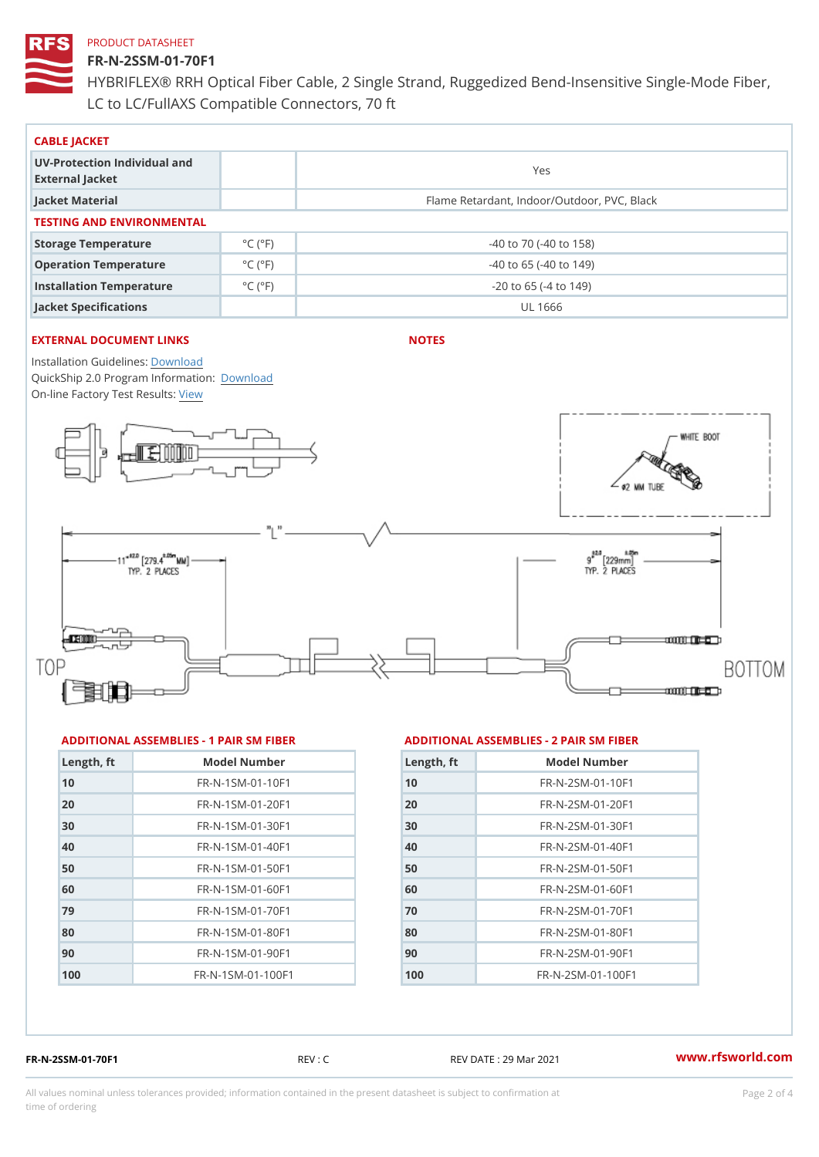## FR-N-2SSM-01-70F1

HYBRIFLEX® RRH Optical Fiber Cable, 2 Single Strand, Ruggedized Be LC to LC/FullAXS Compatible Connectors, 70 ft

| CABLE JACKET                                    |                             |                                             |  |  |  |  |
|-------------------------------------------------|-----------------------------|---------------------------------------------|--|--|--|--|
| UV-Protection Individual and<br>External Jacket |                             | Yes                                         |  |  |  |  |
| Jacket Material                                 |                             | Flame Retardant, Indoor/Outdoor, PVC, Black |  |  |  |  |
| TESTING AND ENVIRONMENTAL                       |                             |                                             |  |  |  |  |
| Storage Temperature                             | $^{\circ}$ C ( $^{\circ}$ F | $-40$ to $70$ ( $-40$ to $158$ )            |  |  |  |  |
| Operation Temperature                           | $^{\circ}$ C ( $^{\circ}$ F | $-40$ to 65 ( $-40$ to 149)                 |  |  |  |  |
| Installation Temperature                        | $^{\circ}$ C ( $^{\circ}$ F | $-20$ to 65 ( $-4$ to 149)                  |  |  |  |  |
| Jacket Specifications                           |                             | UL 1666                                     |  |  |  |  |

# EXTERNAL DOCUMENT LINKS

NOTES

Installation Guidelwinessad QuickShip 2.0 Program [Informa](http://www.rfsworld.com/images/hybriflex/quickship_program_2.pdf)tion: On-line Factory Te[s](https://www.rfsworld.com/pictures/userfiles/programs/AAST Latest Version.zip)teResults:

#### ADDITIONAL ASSEMBLIES - 1 PAIR SM FIBERED DITIONAL ASSEMBLIES - 2 PAIR SM FIBER

| Length, ft | Model Number                   |
|------------|--------------------------------|
| 10         | FR-N-1SM-01-10F1               |
| 20         | FR-N-1SM-01-20F1               |
| 30         | $FR - N - 1$ S M - 01 - 30 F 1 |
| 40         | FR-N-1SM-01-40F1               |
| 50         | FR-N-1SM-01-50F1               |
| 60         | $FR - N - 1$ S M - 01 - 60 F 1 |
| 79         | $FR - N - 1$ S M - 01 - 70 F 1 |
| 80         | FR-N-1SM-01-80F1               |
| 90         | FR-N-1SM-01-90F1               |
| 100        | FR-N-1SM-01-100F1              |

| Length, ft | Model Number                  |
|------------|-------------------------------|
| 10         | $FR - N - 2 SM - 01 - 10 F1$  |
| 20         | $FR - N - 2SM - 01 - 20F1$    |
| 30         | $FR - N - 2 S M - 01 - 30 F1$ |
| 40         | $FR - N - 2 SM - 01 - 40 F1$  |
| 50         | $FR - N - 2 S M - 01 - 50 F1$ |
| 60         | $FR - N - 2 S M - 01 - 60 F1$ |
| 70         | FR-N-2SM-01-70F1              |
| 80         | $FR - N - 2 S M - 01 - 80 F1$ |
| 90         | FR-N-2SM-01-90F1              |
| 100        | $FR - N - 2 SM - 01 - 100 F1$ |

FR-N-2SSM-01-70F1 REV : C REV DATE : 29 Mar 2021 [www.](https://www.rfsworld.com)rfsworld.com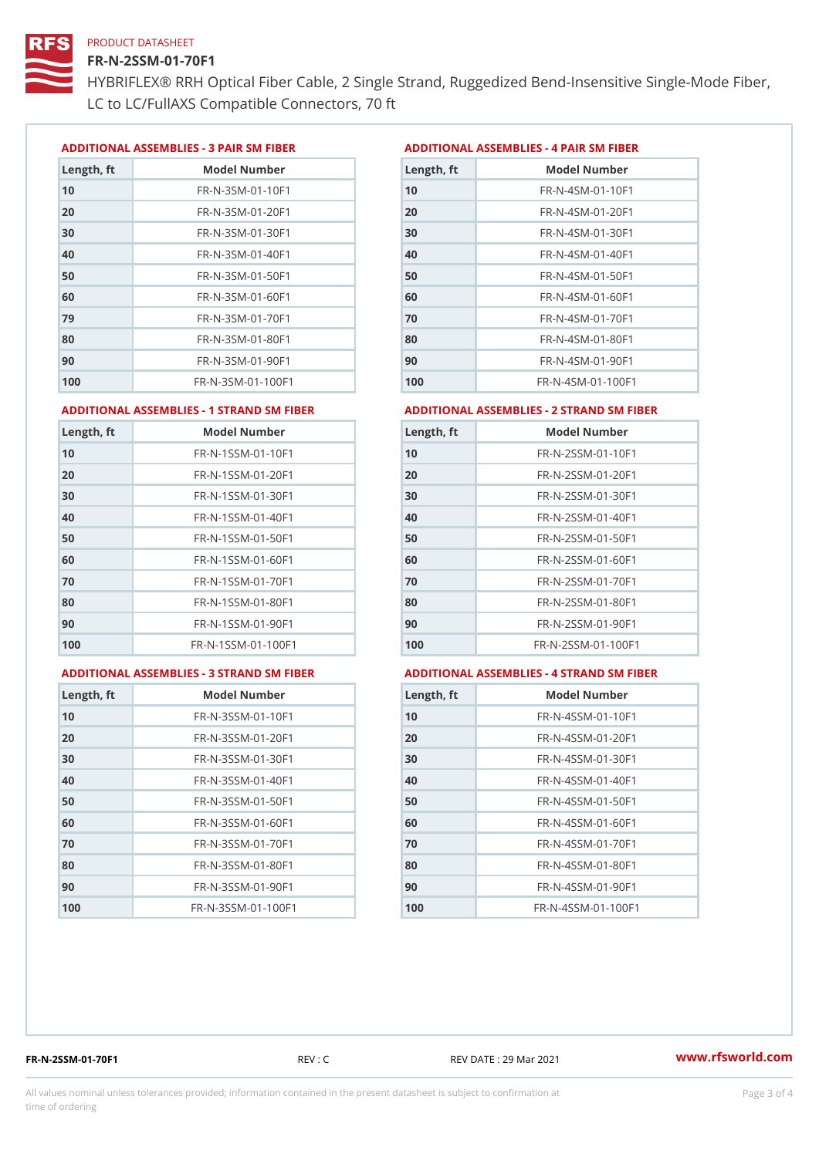### FR-N-2SSM-01-70F1

HYBRIFLEX® RRH Optical Fiber Cable, 2 Single Strand, Ruggedized Be LC to LC/FullAXS Compatible Connectors, 70 ft

ADDITIONAL ASSEMBLIES - 3 PAIR SM FIBERED DITIONAL ASSEMBLIES - 4 PAIR SM FIBER

| Length, ft | Model Number                   |
|------------|--------------------------------|
| 10         | $FR - N - 3 S M - 01 - 10 F1$  |
| 20         | FR-N-3SM-01-20F1               |
| 30         | FR-N-3SM-01-30F1               |
| 40         | $FR - N - 3 S M - 01 - 40 F1$  |
| 50         | FR-N-3SM-01-50F1               |
| 60         | $FR - N - 3 S M - 01 - 60 F1$  |
| 79         | $FR - N - 3 S M - 01 - 70 F1$  |
| 80         | $FR - N - 3 S M - 01 - 80 F1$  |
| 90         | FR-N-3SM-01-90F1               |
| 100        | $FR - N - 3 S M - 01 - 100 F1$ |

| Length, ft | Model Number                   |
|------------|--------------------------------|
| 10         | FR-N-4SM-01-10F1               |
| 20         | $FR - N - 4 SM - 01 - 20 F1$   |
| 30         | $FR - N - 4 S M - 01 - 30 F1$  |
| 40         | $FR - N - 4 SM - 01 - 40 F1$   |
| 50         | FR-N-4SM-01-50F1               |
| 60         | $FR - N - 4 SM - 01 - 60 F1$   |
| 70         | FR-N-4SM-01-70F1               |
| 80         | $FR - N - 4 S M - 01 - 80 F1$  |
| 90         | FR-N-4SM-01-90F1               |
| 100        | $FR - N - 4 S M - 01 - 100 F1$ |

#### ADDITIONAL ASSEMBLIES - 1 STRAND SM FABSDRTIONAL ASSEMBLIES - 2 STRAND SM FIBER

| Length, ft | Model Number                     | Length, ft | Model Number                |
|------------|----------------------------------|------------|-----------------------------|
| 10         | FR-N-1SSM-01-10F1                | 10         | FR-N-2SSM-01-10F1           |
| 20         | FR-N-1SSM-01-20F1                | 20         | FR-N-2SSM-01-20F1           |
| 30         | FR-N-1SSM-01-30F1                | 30         | FR-N-2SSM-01-30F1           |
| 40         | $FR - N - 1$ S S M - 01 - 40 F 1 | 40         | $FR - N - 2SSM - 01 - 40F1$ |
| 50         | $FR - N - 1$ S S M - 01 - 50 F 1 | 50         | $FR - N - 2SSM - 01 - 50F1$ |
| 60         | FR-N-1SSM-01-60F1                | 60         | $FR - N - 2SSM - 01 - 60F1$ |
| 70         | $FR - N - 1$ S S M - 01 - 70 F 1 | 70         | $FR - N - 2SSM - 01 - 70F1$ |
| 80         | FR-N-1SSM-01-80F1                | 80         | FR-N-2SSM-01-80F1           |
| 90         | FR-N-1SSM-01-90F1                | 90         | $FR - N - 2SSM - 01 - 90F1$ |
| 100        | FR-N-1SSM-01-100F1               | 100        | FR-N-2SSM-01-100F1          |
|            |                                  |            |                             |

#### ADDITIONAL ASSEMBLIES - 3 STRAND SM FABSDRTIONAL ASSEMBLIES - 4 STRAND SM FIBER

| L ASSEMBLIES - 4 STRAND SM FII |  |  |  |
|--------------------------------|--|--|--|
|                                |  |  |  |

| Length, ft | Model Number                    |
|------------|---------------------------------|
| 10         | $FR - N - 3 S S M - 01 - 10 F1$ |
| 20         | FR-N-3SSM-01-20F1               |
| 30         | FR-N-3SSM-01-30F1               |
| 40         | FR-N-3SSM-01-40F1               |
| 50         | $FR - N - 3 S S M - 01 - 50 F1$ |
| 60         | $FR - N - 3 S S M - 01 - 60 F1$ |
| 70         | $FR - N - 3 S S M - 01 - 70 F1$ |
| 80         | FR-N-3SSM-01-80F1               |
| 90         | FR-N-3SSM-01-90F1               |
| 100        | FR-N-3SSM-01-100F1              |

| Length, ft | Model Number                     |
|------------|----------------------------------|
| 10         | $FR - N - 4$ S S M - 01 - 10 F 1 |
| 20         | $FR - N - 4 S S M - 01 - 20 F1$  |
| 30         | $FR - N - 4$ S S M - 01 - 30 F 1 |
| 40         | $FR - N - 4 S S M - 01 - 40 F1$  |
| 50         | $FR - N - 4$ S S M - 01 - 50 F 1 |
| 60         | FR-N-4SSM-01-60F1                |
| 70         | $FR - N - 4$ S S M - 01 - 70 F 1 |
| 80         | $FR - N - 4$ S S M - 01 - 80 F 1 |
| 90         | $FR - N - 4$ S S M - 01 - 90 F 1 |
| 100        | FR-N-4SSM-01-100F1               |

FR-N-2SSM-01-70F1 REV : C REV DATE : 29 Mar 2021 [www.](https://www.rfsworld.com)rfsworld.com

All values nominal unless tolerances provided; information contained in the present datasheet is subject to Pcapgeling that i time of ordering